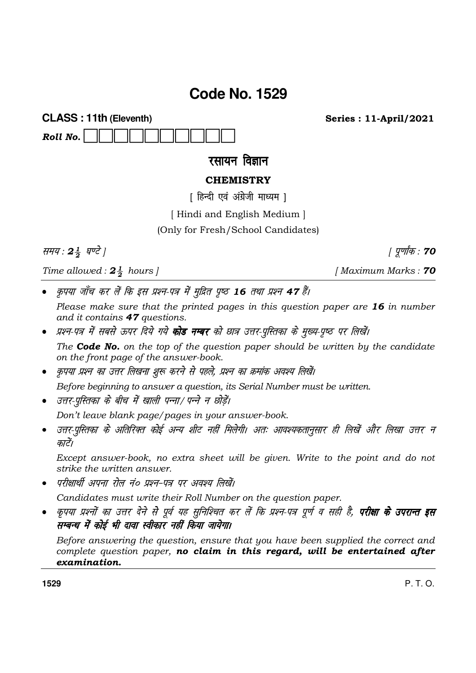# **Code No. 1529**

**CLASS: 11th (Eleventh)** Roll No.

रसायन विज्ञान

# **CHEMISTRY**

[ हिन्दी एवं अंग्रेजी माध्यम ]

[Hindi and English Medium]

(Only for Fresh/School Candidates)

समय: 24 घण्टे |

Time allowed:  $2\frac{1}{2}$  hours |

कृपया जाँच कर लें कि इस प्रश्न-पत्र में मुद्रित पृष्ठ 16 तथा प्रश्न 47 हैं।

Please make sure that the printed pages in this question paper are 16 in number and it contains 47 questions.

- प्रश्न-पत्र में सबसे ऊपर दिये गये **कोड नम्बर** को छात्र उत्तर-पुस्तिका के मुख्य-पृष्ठ पर लिखें। The **Code No.** on the top of the question paper should be written by the candidate on the front page of the answer-book.
- कृपया प्रश्न का उत्तर लिखना शुरू करने से पहले, प्रश्न का क्रमांक अवश्य लिखें।

Before beginning to answer a question, its Serial Number must be written.

• उत्तर-परितका के बीच में खाली पन्ना/ पन्ने न छोडें।

Don't leave blank page/pages in your answer-book.

उत्तर-पुस्तिका के अतिरिक्त कोई अन्य शीट नहीं मिलेगी। अतः आवश्यकतानुसार ही लिखें और लिखा उत्तर न  $\bullet$ कारें।

Except answer-book, no extra sheet will be given. Write to the point and do not strike the written answer.

परीक्षार्थी अपना रोल नं० प्रश्न-पत्र पर अवश्य लिखें।

Candidates must write their Roll Number on the question paper.

कृपया प्रश्नों का उत्तर देने से पूर्व यह सुनिश्चित कर लें कि प्रश्न-पत्र पूर्ण व सही है, **परीक्षा के उपरान्त इस** सम्बन्ध में कोई भी दावा स्वीकार नहीं किया जायेगा।

Before answering the question, ensure that you have been supplied the correct and complete question paper, no claim in this regard, will be entertained after examination.

1529

[Maximum Marks: 70

| पूर्णांक : **70** 

**Series: 11-April/2021**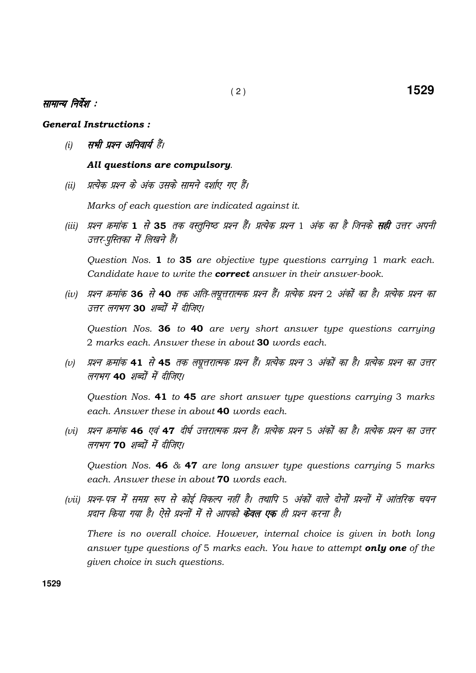## सामान्य निर्देश :

### General Instructions :

(i) सभी प्रश्न अनिवार्य हैं।

### All questions are compulsory.

(ii) - प्रत्येक प्रश्न के अंक उसके सामने दर्शाए गए हैं।

Marks of each question are indicated against it.

(iii) प्रश्न क्रमांक 1 से 35 तक वस्तुनिष्ठ प्रश्न हैं। प्रत्येक प्रश्न 1 अंक का है जिनके **सही** उत्तर अपनी उत्तर-पुस्तिका में लिखने हैं।

Question Nos. 1 to 35 are objective type questions carrying 1 mark each. Candidate have to write the **correct** answer in their answer-book.

(iv) प्रश्न क्रमांक 36 से 40 तक अति-लघत्तरात्मक प्रश्न हैं। प्रत्येक प्रश्न 2 अंकों का है। प्रत्येक प्रश्न का उत्तर लगभग 30 *शब्दों में दीजिए।* 

Question Nos. 36 to 40 are very short answer type questions carrying 2 marks each. Answer these in about 30 words each.

(v) प्रश्न क्रमांक **41** से **45** तक लघुत्तरात्मक प्रश्न हैं। प्रत्येक प्रश्न 3 अंकों का है। प्रत्येक प्रश्न का उत्तर लगभग 40 शब्दों में दीजिए।

 Question Nos. 41 to 45 are short answer type questions carrying 3 marks each. Answer these in about 40 words each.

(vi) प्रश्न क्रमांक **46** एवं **47** दीर्घ उत्तरात्मक प्रश्न हैं। प्रत्येक प्रश्न 5 अंकों का है। प्रत्येक प्रश्न का उत्तर लगभग 70 शब्दों में दीजिए।

Question Nos. **46**  $\&$  **47** are long answer type questions carrying 5 marks each. Answer these in about **70** words each.

(vii) प्रश्न-पत्र में समग्र रूप से कोई विकल्प नहीं है। तथापि 5 अंकों वाले दोनों प्रश्नों में आंतरिक चयन प्रदान किया गया है। ऐसे प्रश्नों में से आपको **केवल एक** ही प्रश्न करना है।

 There is no overall choice. However, internal choice is given in both long answer type questions of 5 marks each. You have to attempt only one of the given choice in such questions.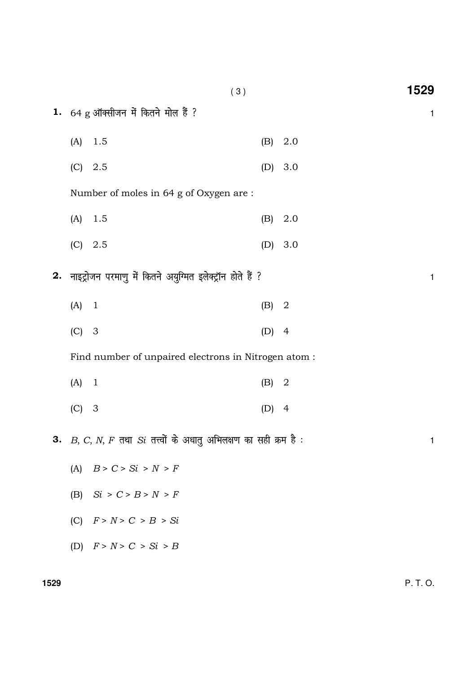|    |         | (3)                                                              |     |                | 1529 |
|----|---------|------------------------------------------------------------------|-----|----------------|------|
|    |         | 1. $64 \text{ g}$ ऑक्सीजन में कितने मोल हैं ?                    |     |                | 1    |
|    | (A)     | 1.5                                                              | (B) | 2.0            |      |
|    | (C)     | 2.5                                                              | (D) | 3.0            |      |
|    |         | Number of moles in 64 g of Oxygen are :                          |     |                |      |
|    | (A)     | 1.5                                                              | (B) | 2.0            |      |
|    | (C)     | 2.5                                                              | (D) | 3.0            |      |
|    |         | 2. नाइट्रोजन परमाणु में कितने अयुग्मित इलेक्ट्रॉन होते हैं ?     |     |                | 1    |
|    | $(A)$ 1 |                                                                  | (B) | $\overline{2}$ |      |
|    | $(C)$ 3 |                                                                  | (D) | $\overline{4}$ |      |
|    |         | Find number of unpaired electrons in Nitrogen atom :             |     |                |      |
|    | $(A)$ 1 |                                                                  | (B) | $\overline{2}$ |      |
|    | $(C)$ 3 |                                                                  | (D) | $\overline{4}$ |      |
| З. |         | $B, C, N, F$ तथा $Si$ तत्त्वों के अधातु अभिलक्षण का सही क्रम है: |     |                | 1    |
|    | (A)     | B > C > Si > N > F                                               |     |                |      |
|    |         | (B) $Si > C > B > N > F$                                         |     |                |      |
|    | (C)     | F > N > C > B > Si                                               |     |                |      |
|    |         | (D) $F > N > C > Si > B$                                         |     |                |      |

1529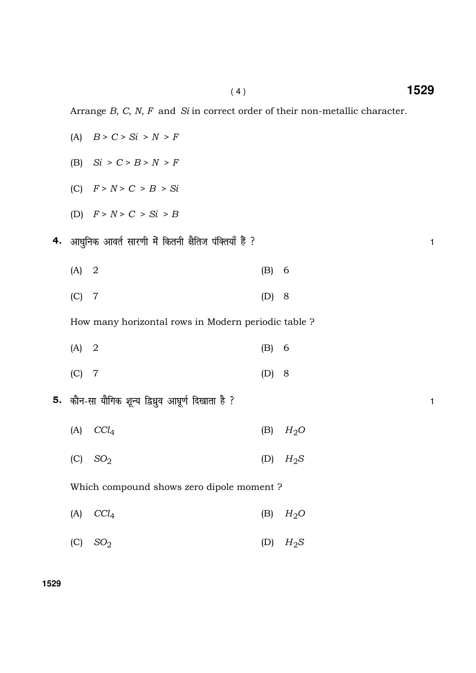Arrange  $B$ ,  $C$ ,  $N$ ,  $F$  and  $Si$  in correct order of their non-metallic character.

|    | (A)     | B > C > Si > N > F                                   |         |        |              |
|----|---------|------------------------------------------------------|---------|--------|--------------|
|    | (B)     | $Si > C > B > N > F$                                 |         |        |              |
|    |         | (C) $F > N > C > B > Si$                             |         |        |              |
|    |         | (D) $F > N > C > Si > B$                             |         |        |              |
| 4. |         | आधुनिक आवर्त सारणी में कितनी क्षैतिज पंक्तियाँ हैं ? |         |        | $\mathbf{1}$ |
|    | $(A)$ 2 |                                                      | (B) 6   |        |              |
|    | (C)     | $\overline{7}$                                       | $(D)$ 8 |        |              |
|    |         | How many horizontal rows in Modern periodic table ?  |         |        |              |
|    | (A)     | $\overline{2}$                                       | (B) 6   |        |              |
|    | $(C)$ 7 |                                                      | (D)     | 8      |              |
| 5. |         | कौन-सा यौगिक शून्य द्विध्रुव आघूर्ण दिखाता है ?      |         |        | $\mathbf{1}$ |
|    | (A)     | CCl <sub>4</sub>                                     | (B)     | $H_2O$ |              |
|    | (C)     | SO <sub>2</sub>                                      | (D)     | $H_2S$ |              |
|    |         | Which compound shows zero dipole moment?             |         |        |              |
|    | (A)     | $CCl_4$                                              | (B)     | $H_2O$ |              |
|    | (C)     | SO <sub>2</sub>                                      | (D)     | $H_2S$ |              |

**1529**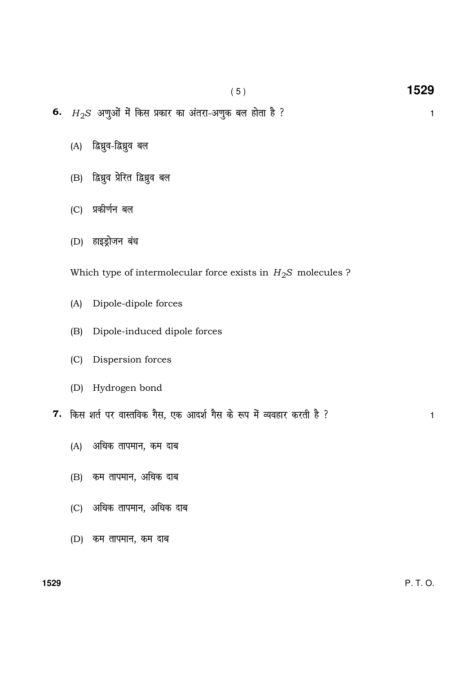- 6.  $H_2S$  अणुओं में किस प्रकार का अंतरा-अणुक बल होता है ?  $1$ 
	- $(A)$  द्विध्नुव-द्विध्नुव बल
	- (B) द्विध्रुव प्रेरित द्विध्रुव बल
	- (C) प्रकीर्णन बल
	- (D) हाइड्रोजन बंध

Which type of intermolecular force exists in  $H_2S$  molecules ?

- (A) Dipole-dipole forces
- (B) Dipole-induced dipole forces
- (C) Dispersion forces
- (D) Hydrogen bond
- 7. किस शर्त पर वास्तविक गैस, एक आदर्श गैस के रूप में व्यवहार करती है ?
	- (A) अधिक तापमान, कम दाब
	- $(B)$  कम तापमान, अधिक दाब
	- (C) अधिक तापमान, अधिक दाब
	- $(D)$  कम तापमान, कम दाब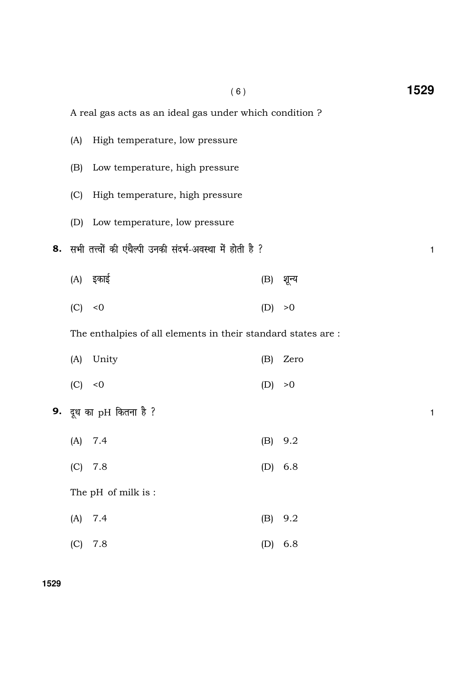| A real gas acts as an ideal gas under which condition? |                                                               |         |           |   |  |  |  |  |
|--------------------------------------------------------|---------------------------------------------------------------|---------|-----------|---|--|--|--|--|
| (A)                                                    | High temperature, low pressure                                |         |           |   |  |  |  |  |
| (B)                                                    | Low temperature, high pressure                                |         |           |   |  |  |  |  |
| (C)                                                    | High temperature, high pressure                               |         |           |   |  |  |  |  |
|                                                        | (D) Low temperature, low pressure                             |         |           |   |  |  |  |  |
|                                                        | 8. सभी तत्त्वों की एंथैल्पी उनकी संदर्भ-अवस्था में होती है ?  |         |           | 1 |  |  |  |  |
|                                                        | (A) इकाई                                                      |         | (B) शून्य |   |  |  |  |  |
| (C) < 0                                                |                                                               | (D)     | >0        |   |  |  |  |  |
|                                                        | The enthalpies of all elements in their standard states are : |         |           |   |  |  |  |  |
| (A)                                                    | Unity                                                         | (B)     | Zero      |   |  |  |  |  |
| (C) < 0                                                |                                                               | (D) > 0 |           |   |  |  |  |  |
| 9. दूध का $pH$ कितना है ?                              |                                                               |         |           |   |  |  |  |  |
| (A)                                                    | 7.4                                                           |         | $(B)$ 9.2 |   |  |  |  |  |
| (C)                                                    | 7.8                                                           | (D)     | 6.8       |   |  |  |  |  |
|                                                        |                                                               |         |           |   |  |  |  |  |

- (B) Low tem
- (C) High ter
- (D) Low tem
- - $(A)$  इकाई
	- $(C) < 0$

|         | (A) Unity |         | (B) Zero |
|---------|-----------|---------|----------|
| (C) < 0 |           | (D) > 0 |          |

- - $(A)$  7.4
	- $(C)$  7.8

The pH of milk is :

- (A) 7.4 (B) 9.2
- (C) 7.8 (D) 6.8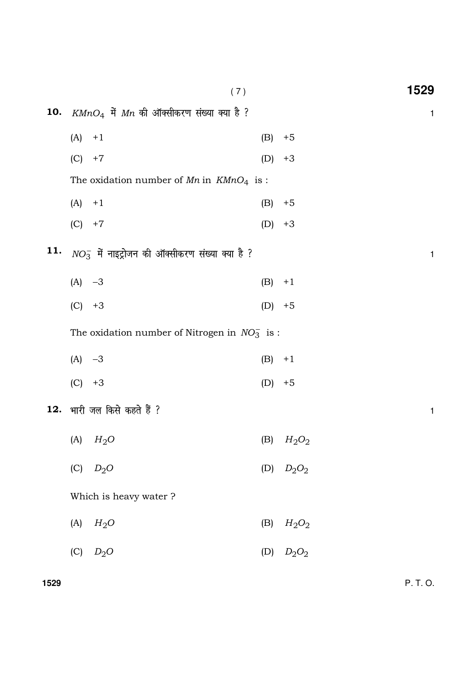|     |          | (7)                                                 |          | 1529         |
|-----|----------|-----------------------------------------------------|----------|--------------|
| 10. |          | $K M n O_4$ में $M n$ की ऑक्सीकरण संख्या क्या है ?  |          | $\mathbf{1}$ |
|     | $(A) +1$ |                                                     | (B)      | $+5$         |
|     | (C)      | $+7$                                                | (D)      | $+3$         |
|     |          | The oxidation number of $Mn$ in $K MnO4$ is :       |          |              |
|     | (A)      | $+1$                                                | (B)      | $+5$         |
|     | $(C) +7$ |                                                     | $(D) +3$ |              |
| 11. |          | $NO_3^-$ में नाइट्रोजन की ऑक्सीकरण संख्या क्या है ? |          | $\mathbf{1}$ |
|     | $(A) -3$ |                                                     | (B)      | $+1$         |
|     | (C)      | $+3$                                                | (D)      | $+5$         |
|     |          | The oxidation number of Nitrogen in $NO3^-$ is :    |          |              |
|     | $(A) -3$ |                                                     | (B)      | $+1$         |
|     | (C)      | $+3$                                                | (D)      | $+5$         |
|     |          | 12. भारी जल किसे कहते हैं ?                         |          | $\mathbf{1}$ |
|     |          | (A) $H_2O$                                          |          | (B) $H_2O_2$ |
|     | (C)      | $D_2O$                                              |          | (D) $D_2O_2$ |
|     |          | Which is heavy water ?                              |          |              |
|     | (A)      | $H_2O$                                              | (B)      | $H_2O_2$     |
|     | (C)      | $D_2O$                                              | (D)      | $D_2O_2$     |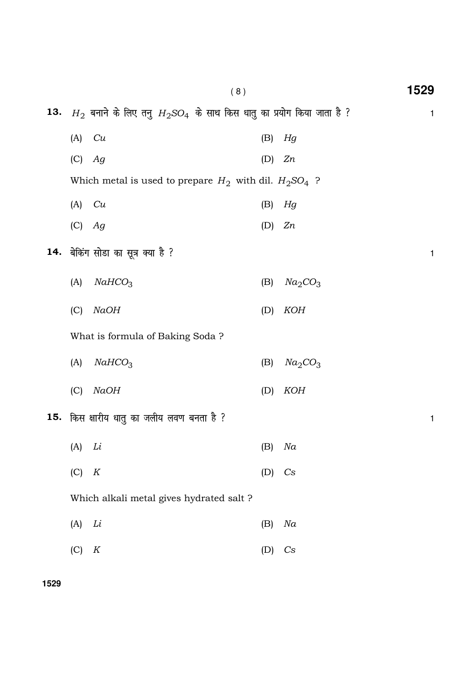|     |          | (8)                                                                       |     |                                 | 1529         |
|-----|----------|---------------------------------------------------------------------------|-----|---------------------------------|--------------|
| 13. |          | $H_2$ बनाने के लिए तनु $H_2$ SO4 के साथ किस धातु का प्रयोग किया जाता है ? |     |                                 | 1            |
|     | (A)      | Cu                                                                        | (B) | Hg                              |              |
|     | (C)      | Ag                                                                        | (D) | Zn                              |              |
|     |          | Which metal is used to prepare $H_2$ with dil. $H_2SO_4$ ?                |     |                                 |              |
|     | (A)      | Cu                                                                        | (B) | Hg                              |              |
|     | $(C)$ Ag |                                                                           | (D) | Zn                              |              |
| 14. |          | बेकिंग सोडा का सूत्र क्या है ?                                            |     |                                 | 1            |
|     | (A)      | NAHCO <sub>3</sub>                                                        | (B) | Na <sub>2</sub> CO <sub>3</sub> |              |
|     | (C)      | <b>NaOH</b>                                                               | (D) | <b>KOH</b>                      |              |
|     |          | What is formula of Baking Soda?                                           |     |                                 |              |
|     | (A)      | NAHCO <sub>3</sub>                                                        | (B) | Na <sub>2</sub> CO <sub>3</sub> |              |
|     | (C)      | NaOH                                                                      | (D) | <b>KOH</b>                      |              |
| 15. |          | किस क्षारीय धातु का जलीय लवण बनता है ?                                    |     |                                 | $\mathbf{1}$ |
|     | (A)      | Li                                                                        | (B) | Na                              |              |
|     | (C)      | $\boldsymbol{K}$                                                          | (D) | $\mathbb{C}$ s                  |              |
|     |          | Which alkali metal gives hydrated salt ?                                  |     |                                 |              |
|     | (A)      | Li                                                                        | (B) | Na                              |              |
|     | (C)      | K                                                                         | (D) | C <sub>S</sub>                  |              |

**1529**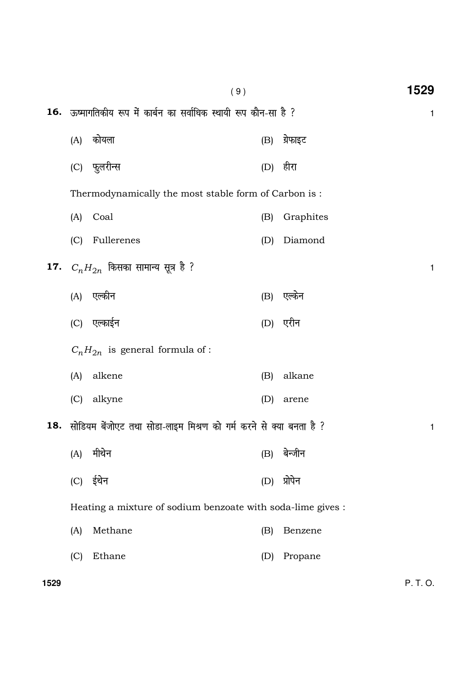|      |     | (9)                                                                |     |           | 1529         |
|------|-----|--------------------------------------------------------------------|-----|-----------|--------------|
|      |     | 16. ऊष्मागतिकीय रूप में कार्बन का सर्वाधिक स्थायी रूप कौन-सा है ?  |     |           | 1            |
|      | (A) | कोयला                                                              | (B) | ग्रेफाइट  |              |
|      | (C) | फुलरीन्स                                                           |     | (D) हीरा  |              |
|      |     | Thermodynamically the most stable form of Carbon is:               |     |           |              |
|      | (A) | Coal                                                               | (B) | Graphites |              |
|      | (C) | Fullerenes                                                         | (D) | Diamond   |              |
|      |     | <b>17.</b> $C_nH_{2n}$ किसका सामान्य सूत्र है ?                    |     |           | $\mathbf{1}$ |
|      |     | (A) एल्कीन                                                         | (B) | एल्केन    |              |
|      |     | (C) एल्काईन                                                        |     | (D) एरीन  |              |
|      |     | $C_nH_{2n}$ is general formula of:                                 |     |           |              |
|      | (A) | alkene                                                             | (B) | alkane    |              |
|      | (C) | alkyne                                                             | (D) | arene     |              |
| 18.  |     | सोडियम बेंजोएट तथा सोडा-लाइम मिश्रण को गर्म करने से क्या बनता है ? |     |           | 1            |
|      | (A) | मीथेन                                                              | (B) | बेन्जीन   |              |
|      | (C) | ईथेन                                                               | (D) | प्रोपेन   |              |
|      |     | Heating a mixture of sodium benzoate with soda-lime gives :        |     |           |              |
|      | (A) | Methane                                                            | (B) | Benzene   |              |
|      | (C) | Ethane                                                             | (D) | Propane   |              |
| 1529 |     |                                                                    |     |           | P. T. O.     |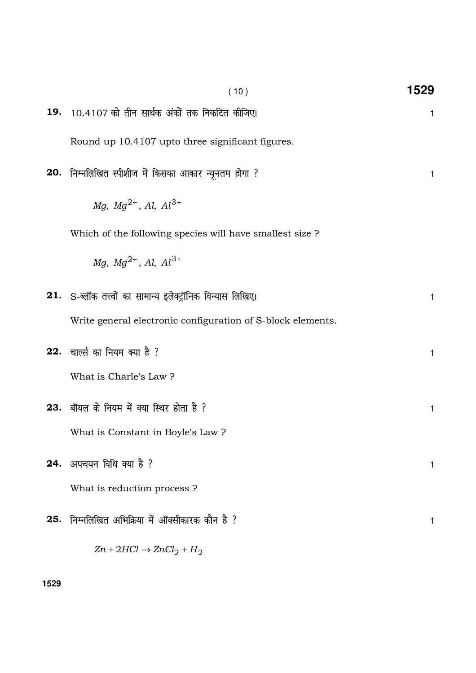|     | (10)                                                                     | 1529         |
|-----|--------------------------------------------------------------------------|--------------|
|     | 19. 10.4107 को तीन सार्थक अंकों तक निकटित कीजिए।                         | $\mathbf{1}$ |
|     | Round up 10.4107 upto three significant figures.                         |              |
|     | 20.  निम्नलिखित स्पीशीज में किसका आकार न्यूनतम होगा ?                    | 1            |
|     | Mg, $Mg^{2+}$ , Al, $Al^{3+}$                                            |              |
|     | Which of the following species will have smallest size ?                 |              |
|     | $Mq$ , $Mq^{2+}$ , Al, Al <sup>3+</sup>                                  |              |
|     | ${\bf 21.}$ $\,$ S-ब्लॉक तत्त्वों का सामान्य इलेक्ट्रॉनिक विन्यास लिखिए। | 1            |
|     | Write general electronic configuration of S-block elements.              |              |
|     | 22. चार्ल्स का नियम क्या है ?                                            | $\mathbf{1}$ |
|     | What is Charle's Law?                                                    |              |
|     | <b>23. बॉयल के नियम में क्या स्थिर होता है</b> ?                         | 1            |
|     | What is Constant in Boyle's Law?                                         |              |
|     | 24. अपचयन विधि क्या है ?                                                 | 1            |
|     | What is reduction process?                                               |              |
| 25. | निम्नलिखित अभिक्रिया में ऑक्सीकारक कौन है ?                              | 1            |
|     | $Zn + 2HCl \rightarrow ZnCl_2 + H_2$                                     |              |

**1529**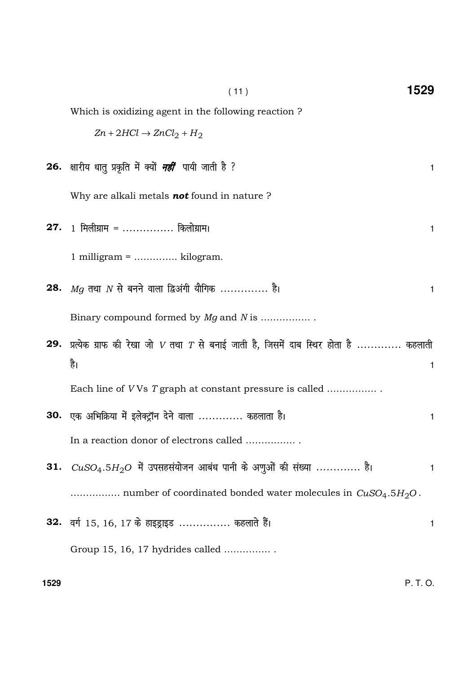| (11)                                                                                        | 1529         |
|---------------------------------------------------------------------------------------------|--------------|
| Which is oxidizing agent in the following reaction?                                         |              |
| $Zn + 2HCl \rightarrow ZnCl_2 + H_2$                                                        |              |
| 26.  क्षारीय धातु प्रकृति में क्यों <i>नहीं</i> पायी जाती है ?                              | 1.           |
| Why are alkali metals not found in nature ?                                                 |              |
| <b>27.</b> 1 मिलीग्राम =  किलोग्राम।                                                        | $\mathbf{1}$ |
| $1$ milligram =  kilogram.                                                                  |              |
| 28. $Mg$ तथा $N$ से बनने वाला द्विअंगी यौगिक  है।                                           | 1            |
| Binary compound formed by Mg and N is                                                       |              |
| 29. प्रत्येक ग्राफ की रेखा जो $V$ तथा $T$ से बनाई जाती है, जिसमें दाब स्थिर होता है  कहलाती |              |
| है।                                                                                         | $\mathbf{1}$ |
| Each line of VVs T graph at constant pressure is called                                     |              |
| 30. एक अभिक्रिया में इलेक्ट्रॉन देने वाला  कहलाता है।                                       | 1            |
| In a reaction donor of electrons called                                                     |              |
| <b>31.</b> $CuSO_4.5H_2O$ में उपसहसंयोजन आबंध पानी के अणुओं की संख्या  है।                  | 1            |
| number of coordinated bonded water molecules in $CuSO_4.5H_2O$ .                            |              |
| 32. वर्ग 15, 16, 17 के हाइड्राइड  कहलाते हैं।                                               | 1            |
| Group 15, 16, 17 hydrides called                                                            |              |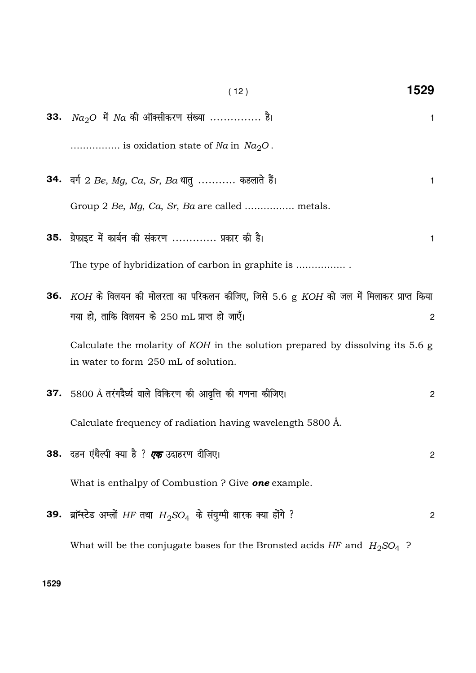|     | (12)                                                                                                                   | 1529           |
|-----|------------------------------------------------------------------------------------------------------------------------|----------------|
| 33. | $Na2O$ में $Na$ की ऑक्सीकरण संख्या  है।                                                                                | 1.             |
|     | is oxidation state of Na in $Na2O$ .                                                                                   |                |
|     | 34. वर्ग 2 Be, Mg, Ca, Sr, Ba धातु  कहलाते हैं।                                                                        | 1              |
|     | Group 2 Be, Mg, Ca, Sr, Ba are called  metals.                                                                         |                |
|     | 35. ग्रेफाइट में कार्बन की संकरण  प्रकार की है।                                                                        | 1              |
|     |                                                                                                                        |                |
|     | 36. $KOH$ के विलयन की मोलरता का परिकलन कीजिए, जिसे 5.6 g $KOH$ को जल में मिलाकर प्राप्त किया                           |                |
|     | गया हो, ताकि विलयन के 250 mL प्राप्त हो जाएँ।                                                                          | $\overline{c}$ |
|     | Calculate the molarity of KOH in the solution prepared by dissolving its 5.6 g<br>in water to form 250 mL of solution. |                |
|     | 37. $5800 \text{ Å}$ तरंगदैर्घ्य वाले विकिरण की आवृत्ति की गणना कीजिए।                                                 | $\mathbf{2}$   |
|     | Calculate frequency of radiation having wavelength 5800 Å.                                                             |                |
|     | 38.  दहन एंथैल्पी क्या है ? <i>एक</i> उदाहरण दीजिए।                                                                    | 2              |
|     | What is enthalpy of Combustion ? Give <b>one</b> example.                                                              |                |
|     | <b>39.</b> ब्राॅन्स्टेड अम्लों HF तथा $H_2SO_4$ के संयुग्मी क्षारक क्या होंगे ?                                        | 2              |
|     | What will be the conjugate bases for the Bronsted acids HF and $H_2SO_4$ ?                                             |                |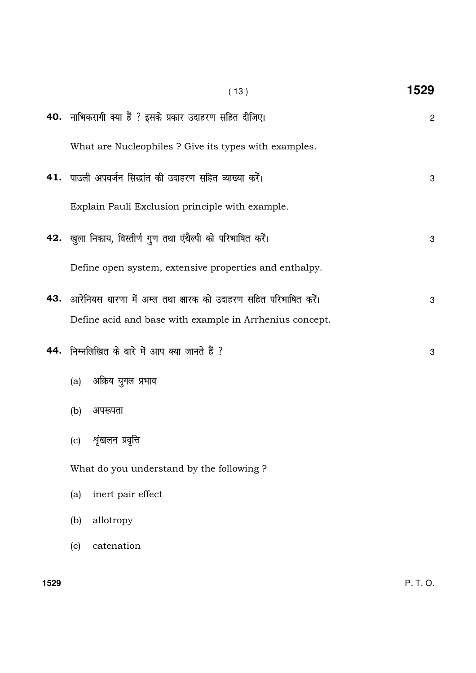| (13)                                                                | 1529           |
|---------------------------------------------------------------------|----------------|
| 40. नाभिकरागी क्या हैं ? इसके प्रकार उदाहरण सहित दीजिए।             | $\overline{c}$ |
| What are Nucleophiles ? Give its types with examples.               |                |
| 41. पाउली अपवर्जन सिद्धांत की उदाहरण सहित व्याख्या करें।            | 3              |
| Explain Pauli Exclusion principle with example.                     |                |
| 42. खुला निकाय, विस्तीर्ण गुण तथा एंथैल्पी को परिभाषित करें।        | 3              |
| Define open system, extensive properties and enthalpy.              |                |
| 43. आरेनियस धारणा में अम्ल तथा क्षारक को उदाहरण सहित परिभाषित करें। | 3              |
| Define acid and base with example in Arrhenius concept.             |                |
| 44. निम्नलिखित के बारे में आप क्या जानते हैं ?                      | 3              |
| (a) अक्रिय युगल प्रभाव                                              |                |
| (b)<br>अपरूपता                                                      |                |
| शृंखलन प्रवृत्ति<br>(c)                                             |                |
| What do you understand by the following?                            |                |
| inert pair effect<br>(a)                                            |                |
| allotropy<br>(b)                                                    |                |
| catenation<br>(c)                                                   |                |
|                                                                     |                |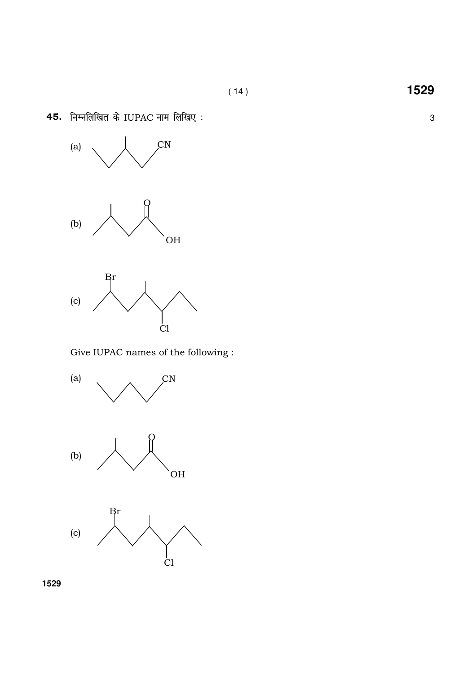

45. निम्नलिखित के IUPAC नाम लिखिए:

Give IUPAC names of the following :



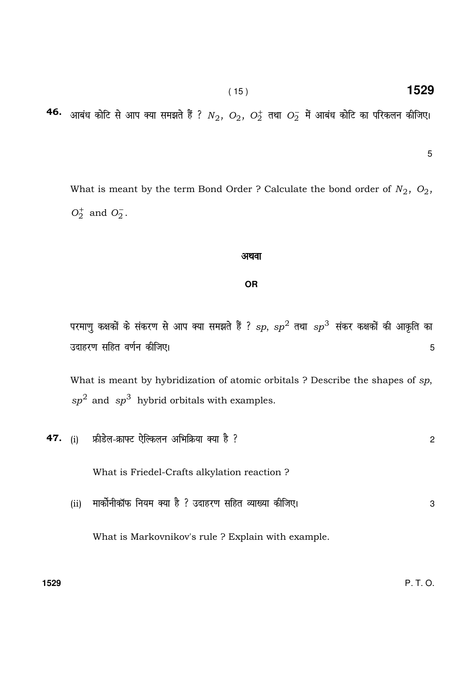( 15 ) **1529**

# **46.** आबंध कोटि से आप क्या समझते हैं ?  $N_2, \ O_2, \ O_2^\pm$  तथा  $O_2^-$  में आबंध कोटि का परिकलन कीजिए।

5

What is meant by the term Bond Order ? Calculate the bond order of  $N_2$ ,  $O_2$ ,  $O_2^+$  and  $O_2^-$ .

#### अथवा

### **OR**

परमाणु कक्षकों के संकरण से आप क्या समझते हैं ?  $sp,$   $sp^2$  तथा  $sp^3$  संकर कक्षकों की आकृति का उदाहरण सहित वर्णन कीजिए। सामाज करने के बाद करने के बाद करने के बाद करने के बाद करने के बाद करने के बाद करने के

What is meant by hybridization of atomic orbitals ? Describe the shapes of sp,  $sp<sup>2</sup>$  and  $sp<sup>3</sup>$  hybrid orbitals with examples.

|      | 47. (i) फ्रीडेल-क्राफ्ट ऐल्किलन अभिक्रिया क्या है ?    | $\mathbf{2}$ |
|------|--------------------------------------------------------|--------------|
|      | What is Friedel-Crafts alkylation reaction?            |              |
| (ii) | मार्कोनीकॉफ नियम क्या है ? उदाहरण सहित व्याख्या कीजिए। | 3            |
|      | What is Markovnikov's rule? Explain with example.      |              |